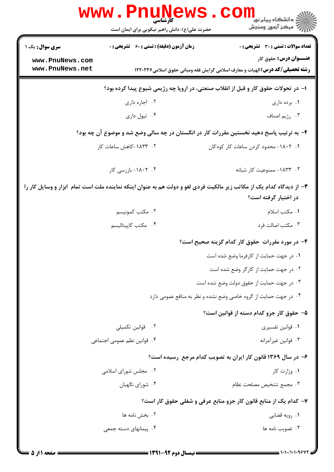|                                                                                                                                              | <b>www.Pnunews</b><br><b>کارشناسی</b><br>حضرت علی(ع): دانش راهبر نیکویی برای ایمان است | <mark>د</mark> دانشگاه پيام نو <mark>ر</mark><br>أأأأ مركز آزمون وسنجش                                                |  |  |  |
|----------------------------------------------------------------------------------------------------------------------------------------------|----------------------------------------------------------------------------------------|-----------------------------------------------------------------------------------------------------------------------|--|--|--|
| <b>سری سوال :</b> یک ۱                                                                                                                       | <b>زمان آزمون (دقیقه) : تستی : 60 ٪ تشریحی : 0</b>                                     | تعداد سوالات : تستى : 30 - تشريحي : 0                                                                                 |  |  |  |
| www.PnuNews.com<br>www.PnuNews.net                                                                                                           |                                                                                        | <b>عنـــوان درس:</b> حقوق کار<br><b>رشته تحصیلی/کد درس:</b> الهیات و معارف اسلامی گرایش فقه ومبانی حقوق اسلامی۱۲۲۰۲۳۶ |  |  |  |
|                                                                                                                                              | ا- در تحولات حقوق کار و قبل از انقلاب صنعتی، در اروپا چه رژیمی شیوع پیدا کرده بود؟     |                                                                                                                       |  |  |  |
|                                                                                                                                              | ۰۲ اجاره داری                                                                          | ۰۱ برده داری                                                                                                          |  |  |  |
|                                                                                                                                              | ۰۴ تیول داری                                                                           | ۰۳ رژيم اصناف                                                                                                         |  |  |  |
|                                                                                                                                              |                                                                                        | ۲- به ترتیب پاسخ دهید نخستین مقررات کار در انگستان در چه سالی وضع شد و موضوع آن چه بود؟                               |  |  |  |
|                                                                                                                                              | ۰۲ ۱۸۳۳–کاهش ساعات کار                                                                 | ۰۱ ۱۸۰۲- محدود کردن ساعات کار کودکان                                                                                  |  |  |  |
|                                                                                                                                              | ۰۴ - ۱۸۰۲- بازرسی کار                                                                  | ۰۳ - ۱۸۳۳- ممنوعیت کار شبانه                                                                                          |  |  |  |
| ۳- از دیدگاه کدام یک از مکاتب زیر مالکیت فردی لغو و دولت هم به عنوان اینکه نماینده ملت است تمام آبزار و وسایل کار را<br>در اختیار گرفته است؟ |                                                                                        |                                                                                                                       |  |  |  |
|                                                                                                                                              | ۰۲ مکتب کمونیسم                                                                        | ۰۱ مکتب اسلام                                                                                                         |  |  |  |
|                                                                                                                                              | ۰۴ مكتب كاپيتاليسم                                                                     | ۰۳ مکتب اصالت فرد                                                                                                     |  |  |  |
|                                                                                                                                              |                                                                                        | ۴- در مورد مقررات حقوق کار کدام گزینه صحیح است؟                                                                       |  |  |  |
|                                                                                                                                              |                                                                                        | ۰۱ در جهت حمایت از کارفرما وضع شده است                                                                                |  |  |  |
|                                                                                                                                              |                                                                                        | ۰۲ در جهت حمایت از کارگر وضع شده است                                                                                  |  |  |  |
|                                                                                                                                              |                                                                                        | ۰۳ در جهت حمایت از حقوق دولت وضع شده است                                                                              |  |  |  |
|                                                                                                                                              |                                                                                        | ۰۴ در جهت حمایت از گروه خاصی وضع نشده و نظر به منافع عمومی دارد                                                       |  |  |  |
|                                                                                                                                              |                                                                                        | ۵– حقوق کار جزو کدام دسته از قوانین است؟                                                                              |  |  |  |
|                                                                                                                                              | ۰۲ قوانین تکمیلی                                                                       | ۰۱ قوانین تفسیری                                                                                                      |  |  |  |
|                                                                                                                                              | ۰۴ قوانین نظم عمومی اجتماعی                                                            | ۰۳ قوانين غيرآمرانه                                                                                                   |  |  |  |
|                                                                                                                                              |                                                                                        | ۶- در سال ۱۳۶۹ قانون کار ایران به تصویب کدام مرجع رسیده است؟                                                          |  |  |  |
|                                                                                                                                              | ۰۲ مجلس شورای اسلامی                                                                   | ۰۱ وزارت کار                                                                                                          |  |  |  |
|                                                                                                                                              | ۰۴ شورای نگهبان                                                                        | ٠٣ مجمع تشخيص مصلحت نظام                                                                                              |  |  |  |
|                                                                                                                                              |                                                                                        | ۷- کدام یک از منابع قانون کار جزو منابع عرفی و شغلی حقوق کار است؟                                                     |  |  |  |
|                                                                                                                                              | ۲ . بخش نامه ها                                                                        | ۰۱ رويه قضايي                                                                                                         |  |  |  |
|                                                                                                                                              | ۰۴ پیمانهای دسته جمعی                                                                  | ۰۳ تصویب نامه ها                                                                                                      |  |  |  |
|                                                                                                                                              |                                                                                        |                                                                                                                       |  |  |  |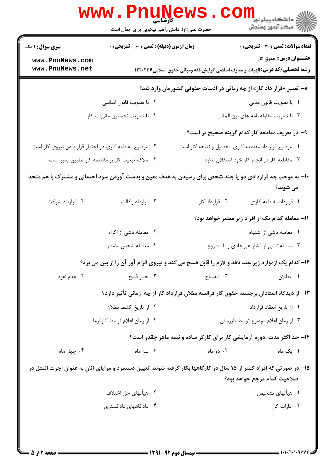| www.PnuNews                                                                                                                                        |                                                    |                                            |                                                                                                                       |  |  |  |
|----------------------------------------------------------------------------------------------------------------------------------------------------|----------------------------------------------------|--------------------------------------------|-----------------------------------------------------------------------------------------------------------------------|--|--|--|
|                                                                                                                                                    | حضرت علی(ع): دانش راهبر نیکویی برای ایمان است      |                                            |                                                                                                                       |  |  |  |
| <b>سری سوال : ۱ یک</b>                                                                                                                             | <b>زمان آزمون (دقیقه) : تستی : 60 ٪ تشریحی : 0</b> |                                            | <b>تعداد سوالات : تستی : 30 ٪ تشریحی : 0</b>                                                                          |  |  |  |
| www.PnuNews.com<br>www.PnuNews.net                                                                                                                 |                                                    |                                            | <b>عنـــوان درس:</b> حقوق کار<br><b>رشته تحصیلی/کد درس:</b> الهیات و معارف اسلامی گرایش فقه ومبانی حقوق اسلامی۱۲۲۰۲۳۶ |  |  |  |
| ۸– تعبیر «قرار داد کار» از چه زمانی در ادبیات حقوقی کشورمان وارد شد؟                                                                               |                                                    |                                            |                                                                                                                       |  |  |  |
|                                                                                                                                                    | ۰۲ با تصویب قانون اساسی                            |                                            | ٠١. با تصويب قانون مدنى                                                                                               |  |  |  |
|                                                                                                                                                    | ۰۴ با تصویب نخستین مقررات کار                      |                                            | ۰۳ با تصويب مقاوله نامه هاى بين المللى                                                                                |  |  |  |
|                                                                                                                                                    |                                                    |                                            | ۹– در تعریف مقاطعه کار کدام گزینه صحیح تر است؟                                                                        |  |  |  |
| ۰۲ موضوع مقاطعه کاری در اختیار قرار دادن نیروی کار است                                                                                             |                                                    |                                            | ۰۱ موضوع قرار داد مقاطعه کاری محصول و نتیجه کار است                                                                   |  |  |  |
|                                                                                                                                                    | ۰۴ ملاک تبعیت کار بر مقاطعه کار تطبیق پذیر است     |                                            | ۰۳ مقاطعه کار در انجام کار خود استقلال ندارد                                                                          |  |  |  |
| +۱- به موجب چه قراردادی دو یا چند شخص برای رسیدن به هدف معین و بدست آوردن سود احتمالی و مشترک با هم متحد<br>می شوند؟                               |                                                    |                                            |                                                                                                                       |  |  |  |
| ۰۴ قرارداد شرکت                                                                                                                                    | ۰۳ قرارداد وكالت                                   | ۰۲ قرارداد کار                             | ۰۱ قرارداد مقاطعه کاری                                                                                                |  |  |  |
|                                                                                                                                                    |                                                    |                                            | 11- معامله کدام یک از افراد زیر معتبر خواهد بود؟                                                                      |  |  |  |
|                                                                                                                                                    | ۰۲ معامله ناشی از اکراه                            |                                            | ۰۱ معامله ناشی از اشتباه                                                                                              |  |  |  |
| ۰۴ معامله شخص مضطر                                                                                                                                 |                                                    | ۰۳ معامله ناشی از فشار غیر عادی و نا مشروع |                                                                                                                       |  |  |  |
|                                                                                                                                                    |                                                    |                                            | <b>۱۲</b> - کدام یک ازموارد زیر عقد نافذ و لازم را قابل فسخ می کند و نیروی الزام آور آن را از بین می برد؟             |  |  |  |
| ۰۴ عدم نفوذ                                                                                                                                        | ۰۳ خيار فسخ                                        | ۰۲ انفساخ                                  | ۰۱ بطلان                                                                                                              |  |  |  |
|                                                                                                                                                    |                                                    |                                            | ۱۳– از دیدگاه استادان برجسته حقوق کار فرانسه بطلان قرارداد کار از چه زمانی تأثیر دارد؟                                |  |  |  |
|                                                                                                                                                    | ٠٢ از تاريخ كشف بطلان                              |                                            | ۰۱ از تاریخ انعقاد قرارداد                                                                                            |  |  |  |
| ۰۴ از زمان اعلام توسط كارفرما                                                                                                                      |                                                    | ۰۳ از زمان اعلام موضوع توسط بازرسان        |                                                                                                                       |  |  |  |
|                                                                                                                                                    |                                                    |                                            | ۱۴- حد اکثر مدت دوره آزمایشی کار برای کارگر ساده و نیمه ماهر چقدر است؟                                                |  |  |  |
| ۰۴ چهار ماه                                                                                                                                        | ۰۳ سه ماه                                          | ۰۲ دو ماه                                  | ۰۱ یک ماه                                                                                                             |  |  |  |
| ۱۵– در صورتی که افراد کمتر از ۱۵ سال در کارگاهها بکار گرفته شوند، تعیین دستمزد و مزایای آنان به عنوان اجرت المثل در<br>صلاحيت كدام مرجع خواهد بود؟ |                                                    |                                            |                                                                                                                       |  |  |  |
|                                                                                                                                                    | ۰۲ هیأتهای حل اختلاف                               |                                            | ۰۱ هیأتهای تشخیص                                                                                                      |  |  |  |
|                                                                                                                                                    | ۰۴ دادگاههای دادگستری                              |                                            | ۰۳ ادارات کار                                                                                                         |  |  |  |
|                                                                                                                                                    |                                                    |                                            |                                                                                                                       |  |  |  |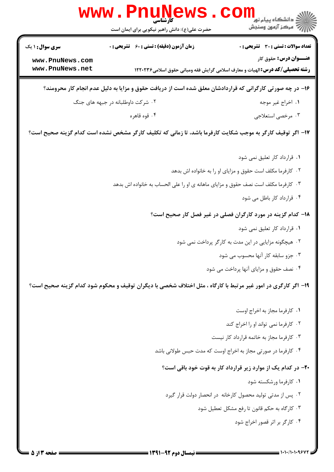|                                                                                                           | WWW . PI<br><b>TUIN</b><br>کارشناسی<br>حضرت علی(ع): دانش راهبر نیکویی برای ایمان است                          | ڪ دانشڪاه پيا <sub>م</sub> نور<br><mark>√</mark> مرڪز آزمون وسنڊش |  |  |
|-----------------------------------------------------------------------------------------------------------|---------------------------------------------------------------------------------------------------------------|-------------------------------------------------------------------|--|--|
| <b>سری سوال : ۱ یک</b>                                                                                    | زمان آزمون (دقیقه) : تستی : 60 ٪ تشریحی : 0                                                                   | <b>تعداد سوالات : تستی : 30 ٪ تشریحی : 0</b>                      |  |  |
| www.PnuNews.com<br>www.PnuNews.net                                                                        | <b>رشته تحصیلی/کد درس:</b> الهیات و معارف اسلامی گرایش فقه ومبانی حقوق اسلامی۱۲۲۰۲۳۶                          | <b>عنـــوان درس:</b> حقوق کار                                     |  |  |
| ۱۶– در چه صورتی کارگرانی که قراردادشان معلق شده است از دریافت حقوق و مزایا به دلیل عدم انجام کار محرومند؟ |                                                                                                               |                                                                   |  |  |
|                                                                                                           | ۰۲ شرکت داوطلبانه در جبهه های جنگ                                                                             | ٠١. اخراج غير موجه                                                |  |  |
|                                                                                                           | ۰۴ قوه قاهره                                                                                                  | ۰۳ مرخصي استعلاجي                                                 |  |  |
|                                                                                                           | ۱۷– اگر توقیف کارگر به موجب شکایت کارفرما باشد، تا زمانی که تکلیف کارگر مشخص نشده است کدام گزینه صحیح است؟    |                                                                   |  |  |
|                                                                                                           |                                                                                                               | ۰۱ قرارداد کار تعلیق نمی شود                                      |  |  |
|                                                                                                           |                                                                                                               | ۰۲ کارفرما مکلف است حقوق و مزایای او را به خانواده اش بدهد        |  |  |
|                                                                                                           | ۰۳ کارفرما مکلف است نصف حقوق و مزایای ماهانه ی او را علی الحساب به خانواده اش بدهد                            |                                                                   |  |  |
|                                                                                                           |                                                                                                               | ۰۴ قرارداد کار باطل می شود                                        |  |  |
|                                                                                                           |                                                                                                               | ۱۸– کدام گزینه در مورد کارگران فصلی در غیر فصل کار صحیح است؟      |  |  |
|                                                                                                           |                                                                                                               | ۰۱ قرارداد کار تعلیق نمی شود                                      |  |  |
|                                                                                                           |                                                                                                               | ۰۲ هیچگونه مزایایی در این مدت به کارگر پرداخت نمی شود             |  |  |
|                                                                                                           |                                                                                                               | ۰۳ جزو سابقه کار آنها محسوب می شود                                |  |  |
|                                                                                                           |                                                                                                               | ۰۴ نصف حقوق و مزایای آنها پرداخت می شود                           |  |  |
|                                                                                                           | ۱۹- اگر کارگری در امور غیر مرتبط با کارگاه ، مثل اختلاف شخصی با دیگران توقیف و محکوم شود کدام گزینه صحیح است؟ |                                                                   |  |  |
|                                                                                                           |                                                                                                               | ۰۱ کارفرما مجاز به اخراج اوست                                     |  |  |
|                                                                                                           |                                                                                                               | ۰۲ کارفرما نمی تواند او را اخراج کند                              |  |  |
|                                                                                                           |                                                                                                               | ۰۳ کارفرما مجاز به خاتمه قرارداد کار نیست                         |  |  |
|                                                                                                           |                                                                                                               | ۰۴ کارفرما در صورتی مجاز به اخراج اوست که مدت حبس طولانی باشد     |  |  |
|                                                                                                           |                                                                                                               | ۲۰– در کدام یک از موارد زیر قرارداد کار به قوت خود باقی است؟      |  |  |
|                                                                                                           |                                                                                                               | ۰۱ کارفرما ورشکسته شود                                            |  |  |
|                                                                                                           |                                                                                                               | ۰۲ پس از مدتی تولید محصول کارخانه در انحصار دولت قرار گیرد        |  |  |
|                                                                                                           |                                                                                                               | ۰۳ کارگاه به حکم قانون تا رفع مشکل تعطیل شود                      |  |  |
|                                                                                                           |                                                                                                               | ۰۴ کارگر بر اثر قصور اخراج شود                                    |  |  |
|                                                                                                           |                                                                                                               |                                                                   |  |  |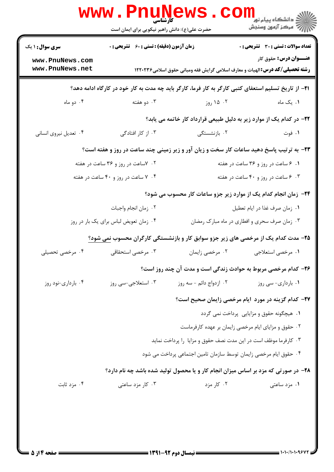|                                           | <b>WWW.PNUNG</b><br><b>کارشناسی</b><br>حضرت علی(ع): دانش راهبر نیکویی برای ایمان است |                                                                                                             |                                                                                         |
|-------------------------------------------|--------------------------------------------------------------------------------------|-------------------------------------------------------------------------------------------------------------|-----------------------------------------------------------------------------------------|
| <b>سری سوال : ۱ یک</b><br>www.PnuNews.com | <b>زمان آزمون (دقیقه) : تستی : 60 ٪ تشریحی : 0</b>                                   |                                                                                                             | <b>تعداد سوالات : تستی : 30 ٪ تشریحی : 0</b><br><b>عنـــوان درس:</b> حقوق کار           |
| www.PnuNews.net                           |                                                                                      | <b>رشته تحصیلی/کد درس: ا</b> لهیات و معارف اسلامی گرایش فقه ومبانی حقوق اسلامی۱۲۲۰۲۳۶                       |                                                                                         |
|                                           |                                                                                      | <b>ا۲−</b> از تاریخ تسلیم استعفای کتبی کارگر به کار فرما، کارگر باید چه مدت به کار خود در کارگاه ادامه دهد؟ |                                                                                         |
| ۰۴ دو ماه                                 | ۰۳ دو هفته                                                                           | ۰۲ ۱۵ روز                                                                                                   | ۰۱ یک ماه                                                                               |
|                                           |                                                                                      | ۲۲- در کدام یک از موارد زیر به دلیل طبیعی قرارداد کار خاتمه می یابد؟                                        |                                                                                         |
| ۰۴ تعدیل نیروی انسانی                     | ۰۳ از کار افتادگی                                                                    | ۰۲ بازنشستگی                                                                                                | ۰۱ فوت                                                                                  |
|                                           |                                                                                      |                                                                                                             | ۲۳- به ترتیب پاسخ دهید ساعات کار سخت و زیان آور و زیر زمینی چند ساعت در روز و هفته است؟ |
|                                           | ۰۲ - ۷ساعت در روز و ۳۶ ساعت در هفته                                                  |                                                                                                             | ۰۱ ۶ ساعت در روز و ۳۶ ساعت در هفته                                                      |
|                                           | ۰۴ ساعت در روز و ۴۰ ساعت در هفته                                                     |                                                                                                             | ۰۳ مساعت در روز و ۴۰ ساعت در هفته                                                       |
|                                           |                                                                                      |                                                                                                             | ۲۴- زمان انجام کدام یک از موارد زیر جزو ساعات کار محسوب می شود؟                         |
|                                           | ٠٢ زمان انجام واجبات                                                                 |                                                                                                             | ٠١ زمان صرف غذا در ايام تعطيل                                                           |
| ۰۴ زمان تعویض لباس برای یک بار در روز     |                                                                                      | ۰۳ زمان صرف سحری و افطاری در ماه مبارک رمضان                                                                |                                                                                         |
|                                           |                                                                                      | ۲۵- مدت کدام یک از مرخصی های زیر جزو سوابق کار و بازنشستگی کارگران محسوب <u>نمی</u> شود؟                    |                                                                                         |
| ۰۴ مرخصی تحصیلی                           | ۰۳ مرخصی استحقاقی                                                                    | ۰۲ مرخصي زايمان                                                                                             | ۰۱ مرخصي استعلاجي                                                                       |
|                                           |                                                                                      | ۲۶- کدام مرخصی مربوط به حوادث زندگی است و مدت آن چند روز است؟                                               |                                                                                         |
| ۰۴ بارداری-نود روز                        | ۰۳ استعلاجي-سي روز                                                                   | ۰۲ ازدواج دائم - سه روز                                                                                     | ۰۱ بارداری- سی روز                                                                      |
|                                           |                                                                                      |                                                                                                             | <b>۲۷</b> – کدام گزینه در مورد ایام مرخصی زایمان صحیح است؟                              |
|                                           |                                                                                      |                                                                                                             | ۰۱ هیچگونه حقوق و مزایایی پرداخت نمی گردد                                               |
|                                           |                                                                                      |                                                                                                             | ۰۲ حقوق و مزایای ایام مرخصی زایمان بر عهده کارفرماست                                    |
|                                           |                                                                                      | ۰۳ کارفرما موظف است در این مدت نصف حقوق و مزایا را پرداخت نماید                                             |                                                                                         |
|                                           |                                                                                      | ۰۴ حقوق ایام مرخصی زایمان توسط سازمان تامین اجتماعی پرداخت می شود                                           |                                                                                         |
|                                           |                                                                                      |                                                                                                             | ۲۸- در صورتی که مزد بر اساس میزان انجام کار و یا محصول تولید شده باشد چه نام دارد؟      |
| ۰۴ مزد ثابت                               | ۰۳ کار مزد ساعتی                                                                     | ۰۲ کار مزد                                                                                                  | ۰۱ مزد ساعتی                                                                            |
|                                           |                                                                                      |                                                                                                             |                                                                                         |